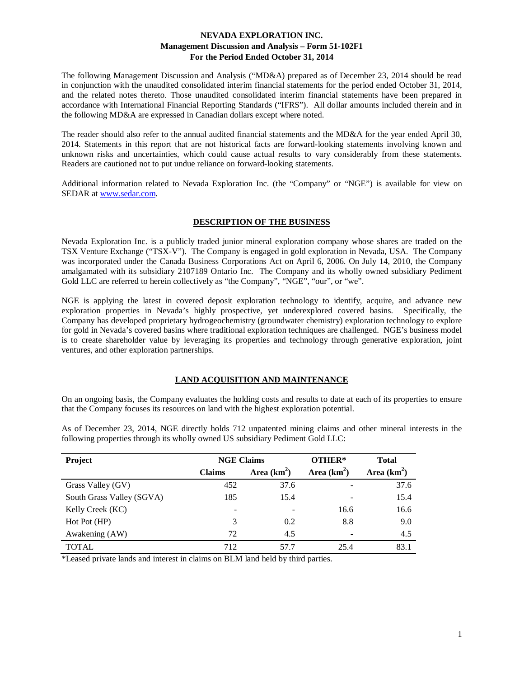The following Management Discussion and Analysis ("MD&A) prepared as of December 23, 2014 should be read in conjunction with the unaudited consolidated interim financial statements for the period ended October 31, 2014, and the related notes thereto. Those unaudited consolidated interim financial statements have been prepared in accordance with International Financial Reporting Standards ("IFRS"). All dollar amounts included therein and in the following MD&A are expressed in Canadian dollars except where noted.

The reader should also refer to the annual audited financial statements and the MD&A for the year ended April 30, 2014. Statements in this report that are not historical facts are forward-looking statements involving known and unknown risks and uncertainties, which could cause actual results to vary considerably from these statements. Readers are cautioned not to put undue reliance on forward-looking statements.

Additional information related to Nevada Exploration Inc. (the "Company" or "NGE") is available for view on SEDAR at [www.sedar.com.](http://www.sedar.com/)

### **DESCRIPTION OF THE BUSINESS**

Nevada Exploration Inc. is a publicly traded junior mineral exploration company whose shares are traded on the TSX Venture Exchange ("TSX-V"). The Company is engaged in gold exploration in Nevada, USA. The Company was incorporated under the Canada Business Corporations Act on April 6, 2006. On July 14, 2010, the Company amalgamated with its subsidiary 2107189 Ontario Inc. The Company and its wholly owned subsidiary Pediment Gold LLC are referred to herein collectively as "the Company", "NGE", "our", or "we".

NGE is applying the latest in covered deposit exploration technology to identify, acquire, and advance new exploration properties in Nevada's highly prospective, yet underexplored covered basins. Specifically, the Company has developed proprietary hydrogeochemistry (groundwater chemistry) exploration technology to explore for gold in Nevada's covered basins where traditional exploration techniques are challenged. NGE's business model is to create shareholder value by leveraging its properties and technology through generative exploration, joint ventures, and other exploration partnerships.

### **LAND ACQUISITION AND MAINTENANCE**

On an ongoing basis, the Company evaluates the holding costs and results to date at each of its properties to ensure that the Company focuses its resources on land with the highest exploration potential.

As of December 23, 2014, NGE directly holds 712 unpatented mining claims and other mineral interests in the following properties through its wholly owned US subsidiary Pediment Gold LLC:

| Project                   | <b>NGE Claims</b> |               | OTHER* | <b>Total</b>  |
|---------------------------|-------------------|---------------|--------|---------------|
|                           | <b>Claims</b>     | Area $(km^2)$ |        | Area $(km^2)$ |
| Grass Valley (GV)         | 452               | 37.6          |        | 37.6          |
| South Grass Valley (SGVA) | 185               | 15.4          |        | 15.4          |
| Kelly Creek (KC)          | -                 |               | 16.6   | 16.6          |
| Hot Pot (HP)              | 3                 | 0.2           | 8.8    | 9.0           |
| Awakening (AW)            | 72                | 4.5           |        | 4.5           |
| <b>TOTAL</b>              | 712               | 57.7          | 25.4   | 83.1          |

\*Leased private lands and interest in claims on BLM land held by third parties.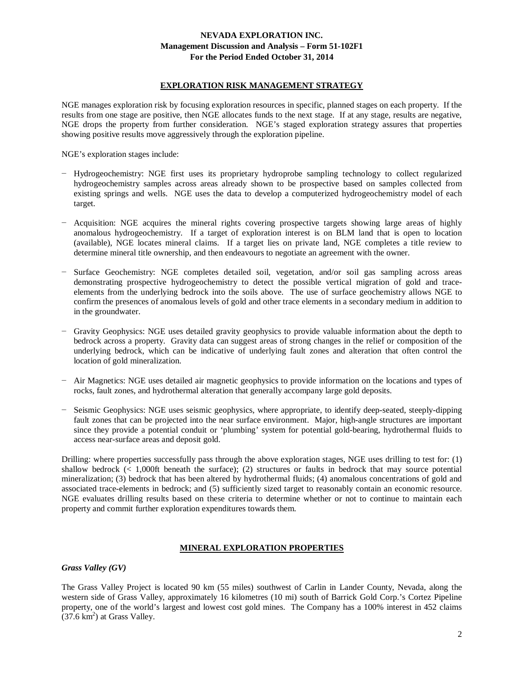## **EXPLORATION RISK MANAGEMENT STRATEGY**

NGE manages exploration risk by focusing exploration resources in specific, planned stages on each property. If the results from one stage are positive, then NGE allocates funds to the next stage. If at any stage, results are negative, NGE drops the property from further consideration. NGE's staged exploration strategy assures that properties showing positive results move aggressively through the exploration pipeline.

NGE's exploration stages include:

- − Hydrogeochemistry: NGE first uses its proprietary hydroprobe sampling technology to collect regularized hydrogeochemistry samples across areas already shown to be prospective based on samples collected from existing springs and wells. NGE uses the data to develop a computerized hydrogeochemistry model of each target.
- − Acquisition: NGE acquires the mineral rights covering prospective targets showing large areas of highly anomalous hydrogeochemistry. If a target of exploration interest is on BLM land that is open to location (available), NGE locates mineral claims. If a target lies on private land, NGE completes a title review to determine mineral title ownership, and then endeavours to negotiate an agreement with the owner.
- − Surface Geochemistry: NGE completes detailed soil, vegetation, and/or soil gas sampling across areas demonstrating prospective hydrogeochemistry to detect the possible vertical migration of gold and traceelements from the underlying bedrock into the soils above. The use of surface geochemistry allows NGE to confirm the presences of anomalous levels of gold and other trace elements in a secondary medium in addition to in the groundwater.
- − Gravity Geophysics: NGE uses detailed gravity geophysics to provide valuable information about the depth to bedrock across a property. Gravity data can suggest areas of strong changes in the relief or composition of the underlying bedrock, which can be indicative of underlying fault zones and alteration that often control the location of gold mineralization.
- − Air Magnetics: NGE uses detailed air magnetic geophysics to provide information on the locations and types of rocks, fault zones, and hydrothermal alteration that generally accompany large gold deposits.
- − Seismic Geophysics: NGE uses seismic geophysics, where appropriate, to identify deep-seated, steeply-dipping fault zones that can be projected into the near surface environment. Major, high-angle structures are important since they provide a potential conduit or 'plumbing' system for potential gold-bearing, hydrothermal fluids to access near-surface areas and deposit gold.

Drilling: where properties successfully pass through the above exploration stages, NGE uses drilling to test for: (1) shallow bedrock (< 1,000ft beneath the surface); (2) structures or faults in bedrock that may source potential mineralization; (3) bedrock that has been altered by hydrothermal fluids; (4) anomalous concentrations of gold and associated trace-elements in bedrock; and (5) sufficiently sized target to reasonably contain an economic resource. NGE evaluates drilling results based on these criteria to determine whether or not to continue to maintain each property and commit further exploration expenditures towards them.

### **MINERAL EXPLORATION PROPERTIES**

*Grass Valley (GV)*

The Grass Valley Project is located 90 km (55 miles) southwest of Carlin in Lander County, Nevada, along the western side of Grass Valley, approximately 16 kilometres (10 mi) south of Barrick Gold Corp.'s Cortez Pipeline property, one of the world's largest and lowest cost gold mines. The Company has a 100% interest in 452 claims  $(37.6 \text{ km}^2)$  at Grass Valley.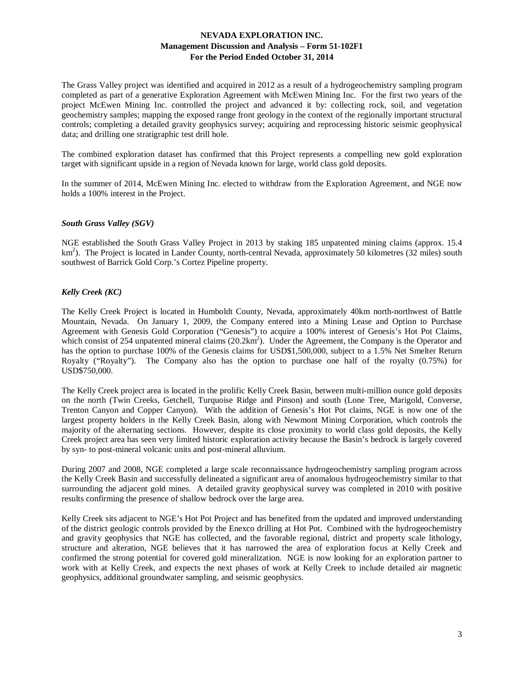The Grass Valley project was identified and acquired in 2012 as a result of a hydrogeochemistry sampling program completed as part of a generative Exploration Agreement with McEwen Mining Inc. For the first two years of the project McEwen Mining Inc. controlled the project and advanced it by: collecting rock, soil, and vegetation geochemistry samples; mapping the exposed range front geology in the context of the regionally important structural controls; completing a detailed gravity geophysics survey; acquiring and reprocessing historic seismic geophysical data; and drilling one stratigraphic test drill hole.

The combined exploration dataset has confirmed that this Project represents a compelling new gold exploration target with significant upside in a region of Nevada known for large, world class gold deposits.

In the summer of 2014, McEwen Mining Inc. elected to withdraw from the Exploration Agreement, and NGE now holds a 100% interest in the Project.

### *South Grass Valley (SGV)*

NGE established the South Grass Valley Project in 2013 by staking 185 unpatented mining claims (approx. 15.4 km<sup>2</sup>). The Project is located in Lander County, north-central Nevada, approximately 50 kilometres (32 miles) south southwest of Barrick Gold Corp.'s Cortez Pipeline property.

#### *Kelly Creek (KC)*

The Kelly Creek Project is located in Humboldt County, Nevada, approximately 40km north-northwest of Battle Mountain, Nevada. On January 1, 2009, the Company entered into a Mining Lease and Option to Purchase Agreement with Genesis Gold Corporation ("Genesis") to acquire a 100% interest of Genesis's Hot Pot Claims, which consist of 254 unpatented mineral claims (20.2km<sup>2</sup>). Under the Agreement, the Company is the Operator and has the option to purchase 100% of the Genesis claims for USD\$1,500,000, subject to a 1.5% Net Smelter Return Royalty ("Royalty"). The Company also has the option to purchase one half of the royalty (0.75%) for USD\$750,000.

The Kelly Creek project area is located in the prolific Kelly Creek Basin, between multi-million ounce gold deposits on the north (Twin Creeks, Getchell, Turquoise Ridge and Pinson) and south (Lone Tree, Marigold, Converse, Trenton Canyon and Copper Canyon). With the addition of Genesis's Hot Pot claims, NGE is now one of the largest property holders in the Kelly Creek Basin, along with Newmont Mining Corporation, which controls the majority of the alternating sections. However, despite its close proximity to world class gold deposits, the Kelly Creek project area has seen very limited historic exploration activity because the Basin's bedrock is largely covered by syn- to post-mineral volcanic units and post-mineral alluvium.

During 2007 and 2008, NGE completed a large scale reconnaissance hydrogeochemistry sampling program across the Kelly Creek Basin and successfully delineated a significant area of anomalous hydrogeochemistry similar to that surrounding the adjacent gold mines. A detailed gravity geophysical survey was completed in 2010 with positive results confirming the presence of shallow bedrock over the large area.

Kelly Creek sits adjacent to NGE's Hot Pot Project and has benefited from the updated and improved understanding of the district geologic controls provided by the Enexco drilling at Hot Pot. Combined with the hydrogeochemistry and gravity geophysics that NGE has collected, and the favorable regional, district and property scale lithology, structure and alteration, NGE believes that it has narrowed the area of exploration focus at Kelly Creek and confirmed the strong potential for covered gold mineralization. NGE is now looking for an exploration partner to work with at Kelly Creek, and expects the next phases of work at Kelly Creek to include detailed air magnetic geophysics, additional groundwater sampling, and seismic geophysics.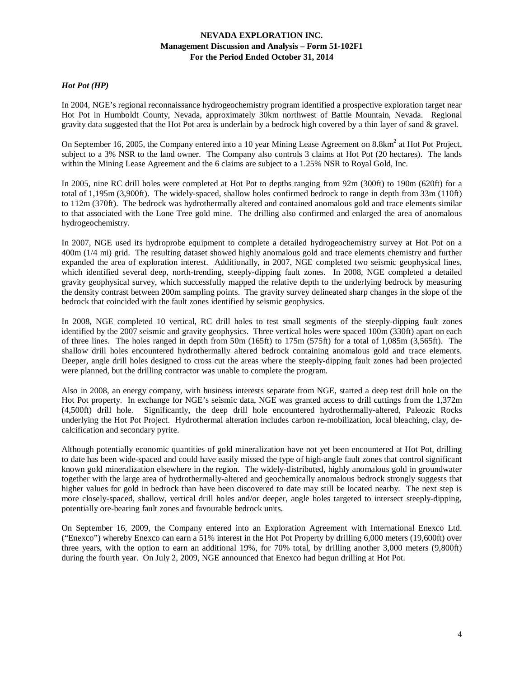### *Hot Pot (HP)*

In 2004, NGE's regional reconnaissance hydrogeochemistry program identified a prospective exploration target near Hot Pot in Humboldt County, Nevada, approximately 30km northwest of Battle Mountain, Nevada. Regional gravity data suggested that the Hot Pot area is underlain by a bedrock high covered by a thin layer of sand & gravel.

On September 16, 2005, the Company entered into a 10 year Mining Lease Agreement on  $8.8 \text{km}^2$  at Hot Project, subject to a 3% NSR to the land owner. The Company also controls 3 claims at Hot Pot (20 hectares). The lands within the Mining Lease Agreement and the 6 claims are subject to a 1.25% NSR to Royal Gold, Inc.

In 2005, nine RC drill holes were completed at Hot Pot to depths ranging from 92m (300ft) to 190m (620ft) for a total of 1,195m (3,900ft). The widely-spaced, shallow holes confirmed bedrock to range in depth from 33m (110ft) to 112m (370ft). The bedrock was hydrothermally altered and contained anomalous gold and trace elements similar to that associated with the Lone Tree gold mine. The drilling also confirmed and enlarged the area of anomalous hydrogeochemistry.

In 2007, NGE used its hydroprobe equipment to complete a detailed hydrogeochemistry survey at Hot Pot on a 400m (1/4 mi) grid. The resulting dataset showed highly anomalous gold and trace elements chemistry and further expanded the area of exploration interest. Additionally, in 2007, NGE completed two seismic geophysical lines, which identified several deep, north-trending, steeply-dipping fault zones. In 2008, NGE completed a detailed gravity geophysical survey, which successfully mapped the relative depth to the underlying bedrock by measuring the density contrast between 200m sampling points. The gravity survey delineated sharp changes in the slope of the bedrock that coincided with the fault zones identified by seismic geophysics.

In 2008, NGE completed 10 vertical, RC drill holes to test small segments of the steeply-dipping fault zones identified by the 2007 seismic and gravity geophysics. Three vertical holes were spaced 100m (330ft) apart on each of three lines. The holes ranged in depth from 50m (165ft) to 175m (575ft) for a total of 1,085m (3,565ft). The shallow drill holes encountered hydrothermally altered bedrock containing anomalous gold and trace elements. Deeper, angle drill holes designed to cross cut the areas where the steeply-dipping fault zones had been projected were planned, but the drilling contractor was unable to complete the program.

Also in 2008, an energy company, with business interests separate from NGE, started a deep test drill hole on the Hot Pot property. In exchange for NGE's seismic data, NGE was granted access to drill cuttings from the 1,372m (4,500ft) drill hole. Significantly, the deep drill hole encountered hydrothermally-altered, Paleozic Rocks underlying the Hot Pot Project. Hydrothermal alteration includes carbon re-mobilization, local bleaching, clay, decalcification and secondary pyrite.

Although potentially economic quantities of gold mineralization have not yet been encountered at Hot Pot, drilling to date has been wide-spaced and could have easily missed the type of high-angle fault zones that control significant known gold mineralization elsewhere in the region. The widely-distributed, highly anomalous gold in groundwater together with the large area of hydrothermally-altered and geochemically anomalous bedrock strongly suggests that higher values for gold in bedrock than have been discovered to date may still be located nearby. The next step is more closely-spaced, shallow, vertical drill holes and/or deeper, angle holes targeted to intersect steeply-dipping, potentially ore-bearing fault zones and favourable bedrock units.

On September 16, 2009, the Company entered into an Exploration Agreement with International Enexco Ltd. ("Enexco") whereby Enexco can earn a 51% interest in the Hot Pot Property by drilling 6,000 meters (19,600ft) over three years, with the option to earn an additional 19%, for 70% total, by drilling another 3,000 meters (9,800ft) during the fourth year. On July 2, 2009, NGE announced that Enexco had begun drilling at Hot Pot.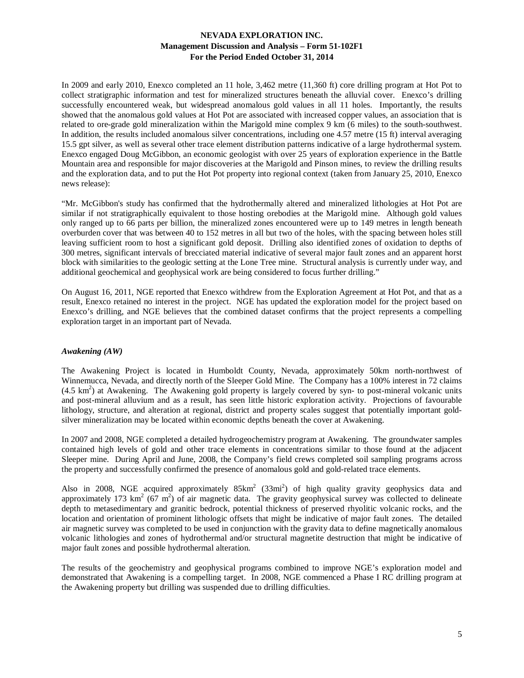In 2009 and early 2010, Enexco completed an 11 hole, 3,462 metre (11,360 ft) core drilling program at Hot Pot to collect stratigraphic information and test for mineralized structures beneath the alluvial cover. Enexco's drilling successfully encountered weak, but widespread anomalous gold values in all 11 holes. Importantly, the results showed that the anomalous gold values at Hot Pot are associated with increased copper values, an association that is related to ore-grade gold mineralization within the Marigold mine complex 9 km (6 miles) to the south-southwest. In addition, the results included anomalous silver concentrations, including one  $4.57$  metre (15 ft) interval averaging 15.5 gpt silver, as well as several other trace element distribution patterns indicative of a large hydrothermal system. Enexco engaged Doug McGibbon, an economic geologist with over 25 years of exploration experience in the Battle Mountain area and responsible for major discoveries at the Marigold and Pinson mines, to review the drilling results and the exploration data, and to put the Hot Pot property into regional context (taken from January 25, 2010, Enexco news release):

"Mr. McGibbon's study has confirmed that the hydrothermally altered and mineralized lithologies at Hot Pot are similar if not stratigraphically equivalent to those hosting orebodies at the Marigold mine. Although gold values only ranged up to 66 parts per billion, the mineralized zones encountered were up to 149 metres in length beneath overburden cover that was between 40 to 152 metres in all but two of the holes, with the spacing between holes still leaving sufficient room to host a significant gold deposit. Drilling also identified zones of oxidation to depths of 300 metres, significant intervals of brecciated material indicative of several major fault zones and an apparent horst block with similarities to the geologic setting at the Lone Tree mine. Structural analysis is currently under way, and additional geochemical and geophysical work are being considered to focus further drilling."

On August 16, 2011, NGE reported that Enexco withdrew from the Exploration Agreement at Hot Pot, and that as a result, Enexco retained no interest in the project. NGE has updated the exploration model for the project based on Enexco's drilling, and NGE believes that the combined dataset confirms that the project represents a compelling exploration target in an important part of Nevada.

### *Awakening (AW)*

The Awakening Project is located in Humboldt County, Nevada, approximately 50km north-northwest of Winnemucca, Nevada, and directly north of the Sleeper Gold Mine. The Company has a 100% interest in 72 claims  $(4.5 \text{ km}^2)$  at Awakening. The Awakening gold property is largely covered by syn- to post-mineral volcanic units and post-mineral alluvium and as a result, has seen little historic exploration activity. Projections of favourable lithology, structure, and alteration at regional, district and property scales suggest that potentially important goldsilver mineralization may be located within economic depths beneath the cover at Awakening.

In 2007 and 2008, NGE completed a detailed hydrogeochemistry program at Awakening. The groundwater samples contained high levels of gold and other trace elements in concentrations similar to those found at the adjacent Sleeper mine. During April and June, 2008, the Company's field crews completed soil sampling programs across the property and successfully confirmed the presence of anomalous gold and gold-related trace elements.

Also in 2008, NGE acquired approximately  $85 \text{km}^2$  (33mi<sup>2</sup>) of high quality gravity geophysics data and approximately 173 km<sup>2</sup> ( $67 \text{ m}^2$ ) of air magnetic data. The gravity geophysical survey was collected to delineate depth to metasedimentary and granitic bedrock, potential thickness of preserved rhyolitic volcanic rocks, and the location and orientation of prominent lithologic offsets that might be indicative of major fault zones. The detailed air magnetic survey was completed to be used in conjunction with the gravity data to define magnetically anomalous volcanic lithologies and zones of hydrothermal and/or structural magnetite destruction that might be indicative of major fault zones and possible hydrothermal alteration.

The results of the geochemistry and geophysical programs combined to improve NGE's exploration model and demonstrated that Awakening is a compelling target. In 2008, NGE commenced a Phase I RC drilling program at the Awakening property but drilling was suspended due to drilling difficulties.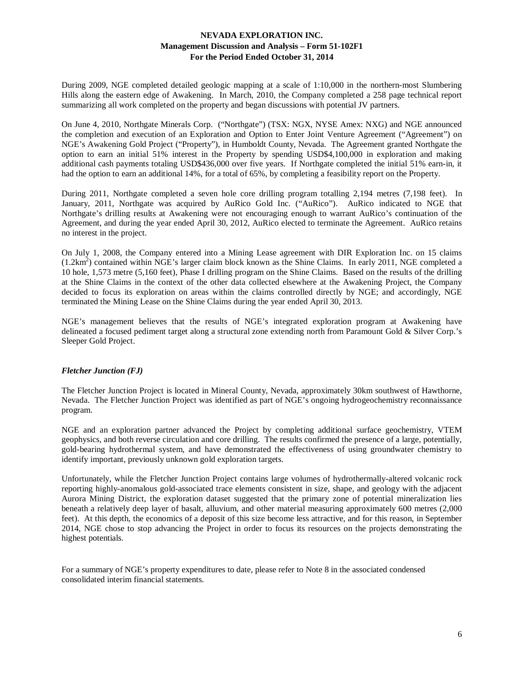During 2009, NGE completed detailed geologic mapping at a scale of 1:10,000 in the northern-most Slumbering Hills along the eastern edge of Awakening. In March, 2010, the Company completed a 258 page technical report summarizing all work completed on the property and began discussions with potential JV partners.

On June 4, 2010, Northgate Minerals Corp. ("Northgate") (TSX: NGX, NYSE Amex: NXG) and NGE announced the completion and execution of an Exploration and Option to Enter Joint Venture Agreement ("Agreement") on NGE's Awakening Gold Project ("Property"), in Humboldt County, Nevada. The Agreement granted Northgate the option to earn an initial 51% interest in the Property by spending USD\$4,100,000 in exploration and making additional cash payments totaling USD\$436,000 over five years. If Northgate completed the initial 51% earn-in, it had the option to earn an additional 14%, for a total of 65%, by completing a feasibility report on the Property.

During 2011, Northgate completed a seven hole core drilling program totalling 2,194 metres (7,198 feet). In January, 2011, Northgate was acquired by AuRico Gold Inc. ("AuRico"). AuRico indicated to NGE that Northgate's drilling results at Awakening were not encouraging enough to warrant AuRico's continuation of the Agreement, and during the year ended April 30, 2012, AuRico elected to terminate the Agreement. AuRico retains no interest in the project.

On July 1, 2008, the Company entered into a Mining Lease agreement with DIR Exploration Inc. on 15 claims (1.2km<sup>2</sup>) contained within NGE's larger claim block known as the Shine Claims. In early 2011, NGE completed a 10 hole, 1,573 metre (5,160 feet), Phase I drilling program on the Shine Claims. Based on the results of the drilling at the Shine Claims in the context of the other data collected elsewhere at the Awakening Project, the Company decided to focus its exploration on areas within the claims controlled directly by NGE; and accordingly, NGE terminated the Mining Lease on the Shine Claims during the year ended April 30, 2013.

NGE's management believes that the results of NGE's integrated exploration program at Awakening have delineated a focused pediment target along a structural zone extending north from Paramount Gold & Silver Corp.'s Sleeper Gold Project.

### *Fletcher Junction (FJ)*

The Fletcher Junction Project is located in Mineral County, Nevada, approximately 30km southwest of Hawthorne, Nevada. The Fletcher Junction Project was identified as part of NGE's ongoing hydrogeochemistry reconnaissance program.

NGE and an exploration partner advanced the Project by completing additional surface geochemistry, VTEM geophysics, and both reverse circulation and core drilling. The results confirmed the presence of a large, potentially, gold-bearing hydrothermal system, and have demonstrated the effectiveness of using groundwater chemistry to identify important, previously unknown gold exploration targets.

Unfortunately, while the Fletcher Junction Project contains large volumes of hydrothermally-altered volcanic rock reporting highly-anomalous gold-associated trace elements consistent in size, shape, and geology with the adjacent Aurora Mining District, the exploration dataset suggested that the primary zone of potential mineralization lies beneath a relatively deep layer of basalt, alluvium, and other material measuring approximately 600 metres (2,000 feet). At this depth, the economics of a deposit of this size become less attractive, and for this reason, in September 2014, NGE chose to stop advancing the Project in order to focus its resources on the projects demonstrating the highest potentials.

For a summary of NGE's property expenditures to date, please refer to Note 8 in the associated condensed consolidated interim financial statements.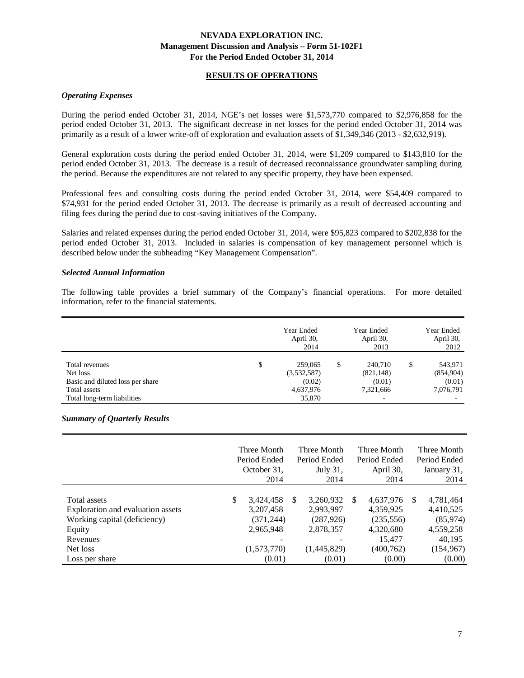### **RESULTS OF OPERATIONS**

#### *Operating Expenses*

During the period ended October 31, 2014, NGE's net losses were \$1,573,770 compared to \$2,976,858 for the period ended October 31, 2013. The significant decrease in net losses for the period ended October 31, 2014 was primarily as a result of a lower write-off of exploration and evaluation assets of \$1,349,346 (2013 - \$2,632,919).

General exploration costs during the period ended October 31, 2014, were \$1,209 compared to \$143,810 for the period ended October 31, 2013. The decrease is a result of decreased reconnaissance groundwater sampling during the period. Because the expenditures are not related to any specific property, they have been expensed.

Professional fees and consulting costs during the period ended October 31, 2014, were \$54,409 compared to \$74,931 for the period ended October 31, 2013. The decrease is primarily as a result of decreased accounting and filing fees during the period due to cost-saving initiatives of the Company.

Salaries and related expenses during the period ended October 31, 2014, were \$95,823 compared to \$202,838 for the period ended October 31, 2013. Included in salaries is compensation of key management personnel which is described below under the subheading "Key Management Compensation".

#### *Selected Annual Information*

The following table provides a brief summary of the Company's financial operations. For more detailed information, refer to the financial statements.

|                                  | Year Ended<br>April 30,<br>2014 | Year Ended<br>April 30,<br>2013 |   | Year Ended<br>April 30,<br>2012 |
|----------------------------------|---------------------------------|---------------------------------|---|---------------------------------|
| Total revenues                   | \$<br>259,065                   | \$<br>240,710                   | S | 543,971                         |
| Net loss                         | (3,532,587)                     | (821, 148)                      |   | (854,904)                       |
| Basic and diluted loss per share | (0.02)                          | (0.01)                          |   | (0.01)                          |
| Total assets                     | 4,637,976                       | 7,321,666                       |   | 7,076,791                       |
| Total long-term liabilities      | 35,870                          |                                 |   |                                 |

# *Summary of Quarterly Results*

|                                                                                                                | Three Month<br>Period Ended<br>October 31,<br>2014           |          | Three Month<br>Period Ended<br>July 31,<br>2014                               |               | Three Month<br>Period Ended<br>April 30,<br>2014            |          | Three Month<br>Period Ended<br>January 31,<br>2014        |
|----------------------------------------------------------------------------------------------------------------|--------------------------------------------------------------|----------|-------------------------------------------------------------------------------|---------------|-------------------------------------------------------------|----------|-----------------------------------------------------------|
| <b>Total assets</b><br>Exploration and evaluation assets<br>Working capital (deficiency)<br>Equity<br>Revenues | \$<br>3,424,458<br>3,207,458<br>(371, 244)<br>2,965,948<br>- | <b>S</b> | 3,260,932<br>2,993,997<br>(287, 926)<br>2,878,357<br>$\overline{\phantom{a}}$ | <sup>\$</sup> | 4,637,976<br>4,359,925<br>(235, 556)<br>4,320,680<br>15,477 | <b>S</b> | 4,781,464<br>4,410,525<br>(85,974)<br>4,559,258<br>40,195 |
| Net loss<br>Loss per share                                                                                     | (1,573,770)<br>(0.01)                                        |          | (1,445,829)<br>(0.01)                                                         |               | (400, 762)<br>(0.00)                                        |          | (154, 967)<br>(0.00)                                      |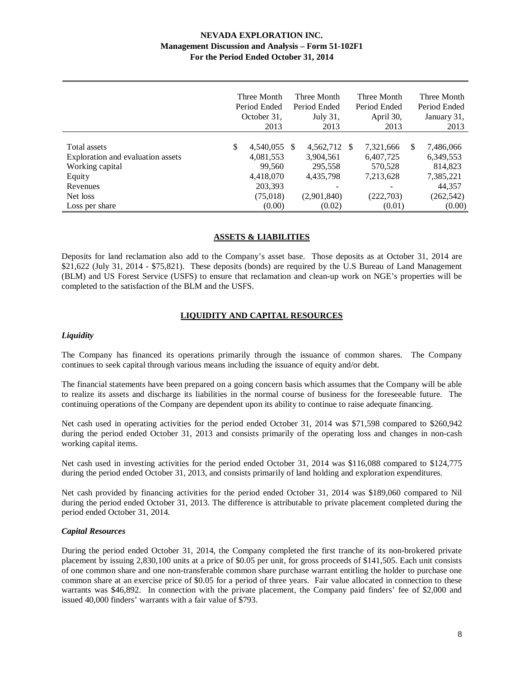|                                                                                                                          |               | Three Month<br>Period Ended<br>October 31,<br>2013                             |      | Three Month<br>Period Ended<br>July 31,<br>2013                            | Three Month<br>Period Ended<br>April 30,<br>2013                       |   | Three Month<br>Period Ended<br>January 31,<br>2013                               |
|--------------------------------------------------------------------------------------------------------------------------|---------------|--------------------------------------------------------------------------------|------|----------------------------------------------------------------------------|------------------------------------------------------------------------|---|----------------------------------------------------------------------------------|
| Total assets<br>Exploration and evaluation assets<br>Working capital<br>Equity<br>Revenues<br>Net loss<br>Loss per share | <sup>\$</sup> | 4,540,055<br>4,081,553<br>99,560<br>4,418,070<br>203,393<br>(75,018)<br>(0.00) | - \$ | 4,562,712 \$<br>3,904,561<br>295,558<br>4,435,798<br>(2,901,840)<br>(0.02) | 7,321,666<br>6,407,725<br>570,528<br>7,213,628<br>(222, 703)<br>(0.01) | S | 7,486,066<br>6,349,553<br>814,823<br>7,385,221<br>44,357<br>(262, 542)<br>(0.00) |

#### **ASSETS & LIABILITIES**

Deposits for land reclamation also add to the Company's asset base. Those deposits as at October 31, 2014 are \$21,622 (July 31, 2014 - \$75,821). These deposits (bonds) are required by the U.S Bureau of Land Management (BLM) and US Forest Service (USFS) to ensure that reclamation and clean-up work on NGE's properties will be completed to the satisfaction of the BLM and the USFS.

### **LIQUIDITY AND CAPITAL RESOURCES**

#### *Liquidity*

The Company has financed its operations primarily through the issuance of common shares. The Company continues to seek capital through various means including the issuance of equity and/or debt.

The financial statements have been prepared on a going concern basis which assumes that the Company will be able to realize its assets and discharge its liabilities in the normal course of business for the foreseeable future. The continuing operations of the Company are dependent upon its ability to continue to raise adequate financing.

Net cash used in operating activities for the period ended October 31, 2014 was \$71,598 compared to \$260,942 during the period ended October 31, 2013 and consists primarily of the operating loss and changes in non-cash working capital items.

Net cash used in investing activities for the period ended October 31, 2014 was \$116,088 compared to \$124,775 during the period ended October 31, 2013, and consists primarily of land holding and exploration expenditures.

Net cash provided by financing activities for the period ended October 31, 2014 was \$189,060 compared to Nil during the period ended October 31, 2013. The difference is attributable to private placement completed during the period ended October 31, 2014.

#### *Capital Resources*

During the period ended October 31, 2014, the Company completed the first tranche of its non-brokered private placement by issuing 2,830,100 units at a price of \$0.05 per unit, for gross proceeds of \$141,505. Each unit consists of one common share and one non-transferable common share purchase warrant entitling the holder to purchase one common share at an exercise price of \$0.05 for a period of three years. Fair value allocated in connection to these warrants was \$46,892. In connection with the private placement, the Company paid finders' fee of \$2,000 and issued 40,000 finders' warrants with a fair value of \$793.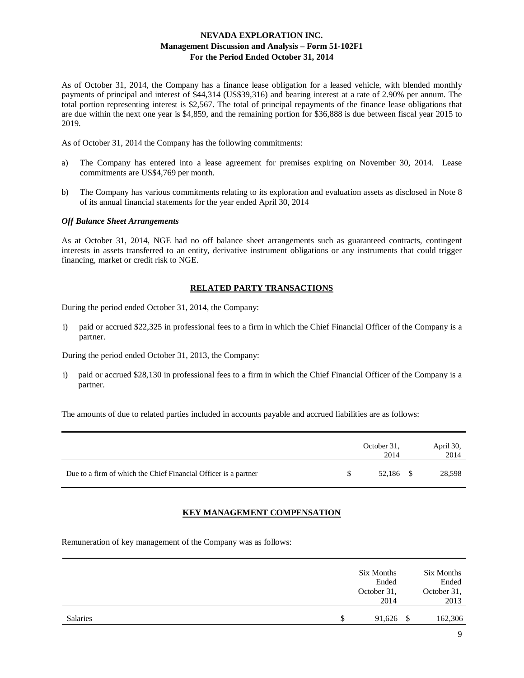As of October 31, 2014, the Company has a finance lease obligation for a leased vehicle, with blended monthly payments of principal and interest of \$44,314 (US\$39,316) and bearing interest at a rate of 2.90% per annum. The total portion representing interest is \$2,567. The total of principal repayments of the finance lease obligations that are due within the next one year is \$4,859, and the remaining portion for \$36,888 is due between fiscal year 2015 to 2019.

As of October 31, 2014 the Company has the following commitments:

- a) The Company has entered into a lease agreement for premises expiring on November 30, 2014. Lease commitments are US\$4,769 per month.
- b) The Company has various commitments relating to its exploration and evaluation assets as disclosed in Note 8 of its annual financial statements for the year ended April 30, 2014

### *Off Balance Sheet Arrangements*

As at October 31, 2014, NGE had no off balance sheet arrangements such as guaranteed contracts, contingent interests in assets transferred to an entity, derivative instrument obligations or any instruments that could trigger financing, market or credit risk to NGE.

#### **RELATED PARTY TRANSACTIONS**

During the period ended October 31, 2014, the Company:

i) paid or accrued \$22,325 in professional fees to a firm in which the Chief Financial Officer of the Company is a partner.

During the period ended October 31, 2013, the Company:

i) paid or accrued \$28,130 in professional fees to a firm in which the Chief Financial Officer of the Company is a partner.

The amounts of due to related parties included in accounts payable and accrued liabilities are as follows:

|                                                                 | October 31,<br>2014 | April 30,<br>2014 |
|-----------------------------------------------------------------|---------------------|-------------------|
| Due to a firm of which the Chief Financial Officer is a partner | 52.186 \$           | 28,598            |

### **KEY MANAGEMENT COMPENSATION**

Remuneration of key management of the Company was as follows:

|                 |   | Six Months<br>Ended<br>October 31,<br>2014 | Six Months<br>Ended<br>October 31,<br>2013 |
|-----------------|---|--------------------------------------------|--------------------------------------------|
| <b>Salaries</b> | S | 91,626                                     | 162,306                                    |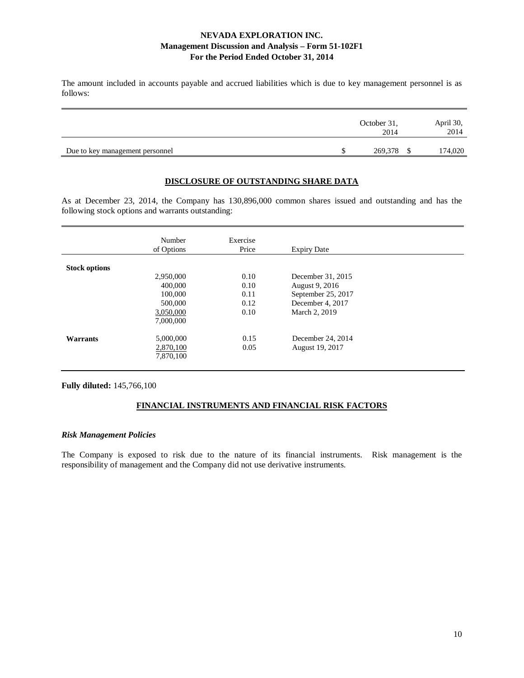The amount included in accounts payable and accrued liabilities which is due to key management personnel is as follows:

|                                 | October 31,<br>2014 | April 30,<br>2014 |
|---------------------------------|---------------------|-------------------|
| Due to key management personnel | 269,378 \$          | 174,020           |

### **DISCLOSURE OF OUTSTANDING SHARE DATA**

As at December 23, 2014, the Company has 130,896,000 common shares issued and outstanding and has the following stock options and warrants outstanding:

|                      | Number<br>of Options | Exercise<br>Price | <b>Expiry Date</b> |  |
|----------------------|----------------------|-------------------|--------------------|--|
| <b>Stock options</b> |                      |                   |                    |  |
|                      | 2,950,000            | 0.10              | December 31, 2015  |  |
|                      | 400,000              | 0.10              | August 9, 2016     |  |
|                      | 100,000              | 0.11              | September 25, 2017 |  |
|                      | 500,000              | 0.12              | December 4, 2017   |  |
|                      | 3,050,000            | 0.10              | March 2, 2019      |  |
|                      | 7,000,000            |                   |                    |  |
| Warrants             | 5,000,000            | 0.15              | December 24, 2014  |  |
|                      | 2,870,100            | 0.05              | August 19, 2017    |  |
|                      | 7,870,100            |                   |                    |  |

**Fully diluted:** 145,766,100

## **FINANCIAL INSTRUMENTS AND FINANCIAL RISK FACTORS**

#### *Risk Management Policies*

The Company is exposed to risk due to the nature of its financial instruments. Risk management is the responsibility of management and the Company did not use derivative instruments.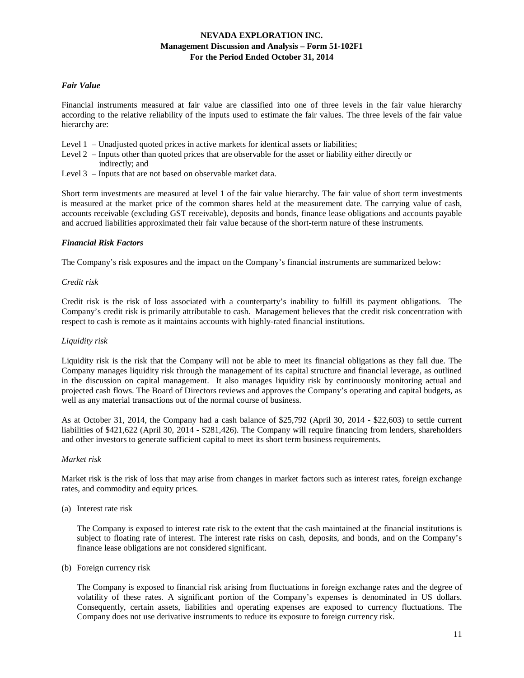#### *Fair Value*

Financial instruments measured at fair value are classified into one of three levels in the fair value hierarchy according to the relative reliability of the inputs used to estimate the fair values. The three levels of the fair value hierarchy are:

- Level 1 Unadjusted quoted prices in active markets for identical assets or liabilities;
- Level 2 Inputs other than quoted prices that are observable for the asset or liability either directly or indirectly; and
- Level 3 Inputs that are not based on observable market data.

Short term investments are measured at level 1 of the fair value hierarchy. The fair value of short term investments is measured at the market price of the common shares held at the measurement date. The carrying value of cash, accounts receivable (excluding GST receivable), deposits and bonds, finance lease obligations and accounts payable and accrued liabilities approximated their fair value because of the short-term nature of these instruments.

#### *Financial Risk Factors*

The Company's risk exposures and the impact on the Company's financial instruments are summarized below:

#### *Credit risk*

Credit risk is the risk of loss associated with a counterparty's inability to fulfill its payment obligations. The Company's credit risk is primarily attributable to cash. Management believes that the credit risk concentration with respect to cash is remote as it maintains accounts with highly-rated financial institutions.

#### *Liquidity risk*

Liquidity risk is the risk that the Company will not be able to meet its financial obligations as they fall due. The Company manages liquidity risk through the management of its capital structure and financial leverage, as outlined in the discussion on capital management. It also manages liquidity risk by continuously monitoring actual and projected cash flows. The Board of Directors reviews and approves the Company's operating and capital budgets, as well as any material transactions out of the normal course of business.

As at October 31, 2014, the Company had a cash balance of \$25,792 (April 30, 2014 - \$22,603) to settle current liabilities of \$421,622 (April 30, 2014 - \$281,426). The Company will require financing from lenders, shareholders and other investors to generate sufficient capital to meet its short term business requirements.

#### *Market risk*

Market risk is the risk of loss that may arise from changes in market factors such as interest rates, foreign exchange rates, and commodity and equity prices.

(a) Interest rate risk

The Company is exposed to interest rate risk to the extent that the cash maintained at the financial institutions is subject to floating rate of interest. The interest rate risks on cash, deposits, and bonds, and on the Company's finance lease obligations are not considered significant.

(b) Foreign currency risk

The Company is exposed to financial risk arising from fluctuations in foreign exchange rates and the degree of volatility of these rates. A significant portion of the Company's expenses is denominated in US dollars. Consequently, certain assets, liabilities and operating expenses are exposed to currency fluctuations. The Company does not use derivative instruments to reduce its exposure to foreign currency risk.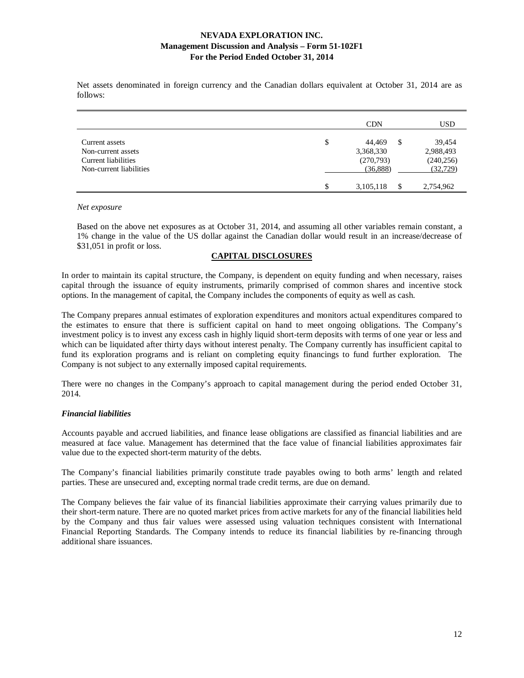Net assets denominated in foreign currency and the Canadian dollars equivalent at October 31, 2014 are as follows:

|                                                                                        | <b>CDN</b>                                              | <b>USD</b>                                     |
|----------------------------------------------------------------------------------------|---------------------------------------------------------|------------------------------------------------|
| Current assets<br>Non-current assets<br>Current liabilities<br>Non-current liabilities | \$<br>44.469<br>S<br>3,368,330<br>(270,793)<br>(36,888) | 39,454<br>2,988,493<br>(240, 256)<br>(32, 729) |
|                                                                                        | \$<br>3,105,118<br>\$                                   | 2,754,962                                      |

#### *Net exposure*

Based on the above net exposures as at October 31, 2014, and assuming all other variables remain constant, a 1% change in the value of the US dollar against the Canadian dollar would result in an increase/decrease of \$31,051 in profit or loss.

### **CAPITAL DISCLOSURES**

In order to maintain its capital structure, the Company, is dependent on equity funding and when necessary, raises capital through the issuance of equity instruments, primarily comprised of common shares and incentive stock options. In the management of capital, the Company includes the components of equity as well as cash.

The Company prepares annual estimates of exploration expenditures and monitors actual expenditures compared to the estimates to ensure that there is sufficient capital on hand to meet ongoing obligations. The Company's investment policy is to invest any excess cash in highly liquid short-term deposits with terms of one year or less and which can be liquidated after thirty days without interest penalty. The Company currently has insufficient capital to fund its exploration programs and is reliant on completing equity financings to fund further exploration. The Company is not subject to any externally imposed capital requirements.

There were no changes in the Company's approach to capital management during the period ended October 31, 2014.

### *Financial liabilities*

Accounts payable and accrued liabilities, and finance lease obligations are classified as financial liabilities and are measured at face value. Management has determined that the face value of financial liabilities approximates fair value due to the expected short-term maturity of the debts.

The Company's financial liabilities primarily constitute trade payables owing to both arms' length and related parties. These are unsecured and, excepting normal trade credit terms, are due on demand.

The Company believes the fair value of its financial liabilities approximate their carrying values primarily due to their short-term nature. There are no quoted market prices from active markets for any of the financial liabilities held by the Company and thus fair values were assessed using valuation techniques consistent with International Financial Reporting Standards. The Company intends to reduce its financial liabilities by re-financing through additional share issuances.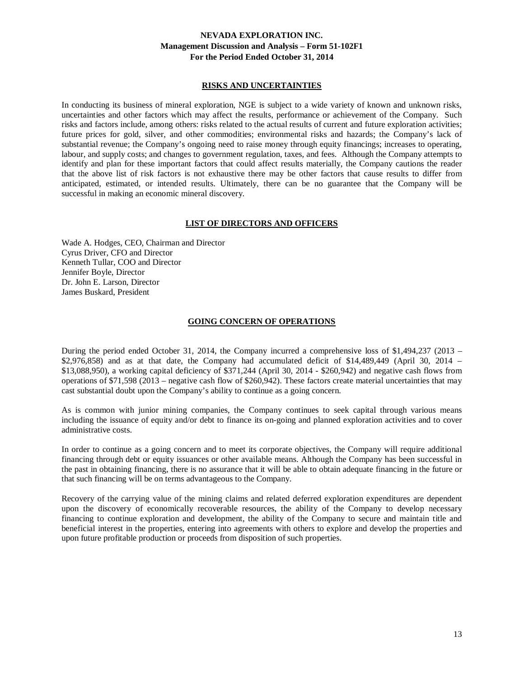### **RISKS AND UNCERTAINTIES**

In conducting its business of mineral exploration, NGE is subject to a wide variety of known and unknown risks, uncertainties and other factors which may affect the results, performance or achievement of the Company. Such risks and factors include, among others: risks related to the actual results of current and future exploration activities; future prices for gold, silver, and other commodities; environmental risks and hazards; the Company's lack of substantial revenue; the Company's ongoing need to raise money through equity financings; increases to operating, labour, and supply costs; and changes to government regulation, taxes, and fees. Although the Company attempts to identify and plan for these important factors that could affect results materially, the Company cautions the reader that the above list of risk factors is not exhaustive there may be other factors that cause results to differ from anticipated, estimated, or intended results. Ultimately, there can be no guarantee that the Company will be successful in making an economic mineral discovery.

# **LIST OF DIRECTORS AND OFFICERS**

Wade A. Hodges, CEO, Chairman and Director Cyrus Driver, CFO and Director Kenneth Tullar, COO and Director Jennifer Boyle, Director Dr. John E. Larson, Director James Buskard, President

### **GOING CONCERN OF OPERATIONS**

During the period ended October 31, 2014, the Company incurred a comprehensive loss of \$1,494,237 (2013 –  $$2,976,858)$  and as at that date, the Company had accumulated deficit of \$14,489,449 (April 30, 2014 – \$13,088,950), a working capital deficiency of \$371,244 (April 30, 2014 - \$260,942) and negative cash flows from operations of \$71,598 (2013 – negative cash flow of \$260,942). These factors create material uncertainties that may cast substantial doubt upon the Company's ability to continue as a going concern.

As is common with junior mining companies, the Company continues to seek capital through various means including the issuance of equity and/or debt to finance its on-going and planned exploration activities and to cover administrative costs.

In order to continue as a going concern and to meet its corporate objectives, the Company will require additional financing through debt or equity issuances or other available means. Although the Company has been successful in the past in obtaining financing, there is no assurance that it will be able to obtain adequate financing in the future or that such financing will be on terms advantageous to the Company.

Recovery of the carrying value of the mining claims and related deferred exploration expenditures are dependent upon the discovery of economically recoverable resources, the ability of the Company to develop necessary financing to continue exploration and development, the ability of the Company to secure and maintain title and beneficial interest in the properties, entering into agreements with others to explore and develop the properties and upon future profitable production or proceeds from disposition of such properties.